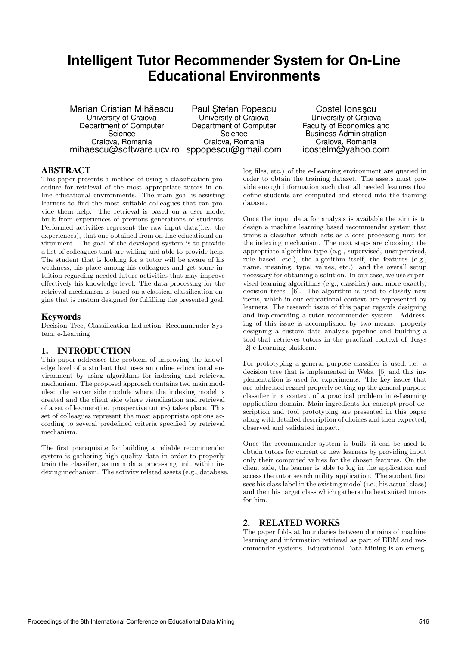# **Intelligent Tutor Recommender System for On-Line Educational Environments**

Marian Cristian Mihăescu University of Craiova Department of Computer Science Craiova, Romania mihaescu@software.ucv.ro sppopescu@gmail.com

Paul Stefan Popescu University of Craiova Department of Computer **Science** Craiova, Romania

Costel Ionascu University of Craiova Faculty of Economics and Business Administration Craiova, Romania icostelm@yahoo.com

# ABSTRACT

This paper presents a method of using a classification procedure for retrieval of the most appropriate tutors in online educational environments. The main goal is assisting learners to find the most suitable colleagues that can provide them help. The retrieval is based on a user model built from experiences of previous generations of students. Performed activities represent the raw input data(i.e., the experiences), that one obtained from on-line educational environment. The goal of the developed system is to provide a list of colleagues that are willing and able to provide help. The student that is looking for a tutor will be aware of his weakness, his place among his colleagues and get some intuition regarding needed future activities that may improve effectively his knowledge level. The data processing for the retrieval mechanism is based on a classical classification engine that is custom designed for fulfilling the presented goal.

## Keywords

Decision Tree, Classification Induction, Recommender System, e-Learning

# 1. INTRODUCTION

This paper addresses the problem of improving the knowledge level of a student that uses an online educational environment by using algorithms for indexing and retrieval mechanism. The proposed approach contains two main modules: the server side module where the indexing model is created and the client side where visualization and retrieval of a set of learners(i.e. prospective tutors) takes place. This set of colleagues represent the most appropriate options according to several predefined criteria specified by retrieval mechanism.

The first prerequisite for building a reliable recommender system is gathering high quality data in order to properly train the classifier, as main data processing unit within indexing mechanism. The activity related assets (e.g., database, log files, etc.) of the e-Learning environment are queried in order to obtain the training dataset. The assets must provide enough information such that all needed features that define students are computed and stored into the training dataset.

Once the input data for analysis is available the aim is to design a machine learning based recommender system that trains a classifier which acts as a core processing unit for the indexing mechanism. The next steps are choosing: the appropriate algorithm type (e.g., supervised, unsupervised, rule based, etc.), the algorithm itself, the features (e.g., name, meaning, type, values, etc.) and the overall setup necessary for obtaining a solution. In our case, we use supervised learning algorithms (e.g., classifier) and more exactly, decision trees [6]. The algorithm is used to classify new items, which in our educational context are represented by learners. The research issue of this paper regards designing and implementing a tutor recommender system. Addressing of this issue is accomplished by two means: properly designing a custom data analysis pipeline and building a tool that retrieves tutors in the practical context of Tesys [2] e-Learning platform.

For prototyping a general purpose classifier is used, i.e. a decision tree that is implemented in Weka [5] and this implementation is used for experiments. The key issues that are addressed regard properly setting up the general purpose classifier in a context of a practical problem in e-Learning application domain. Main ingredients for concept proof description and tool prototyping are presented in this paper along with detailed description of choices and their expected, observed and validated impact.

Once the recommender system is built, it can be used to obtain tutors for current or new learners by providing input only their computed values for the chosen features. On the client side, the learner is able to log in the application and access the tutor search utility application. The student first sees his class label in the existing model (i.e., his actual class) and then his target class which gathers the best suited tutors for him.

## 2. RELATED WORKS

The paper folds at boundaries between domains of machine learning and information retrieval as part of EDM and recommender systems. Educational Data Mining is an emerg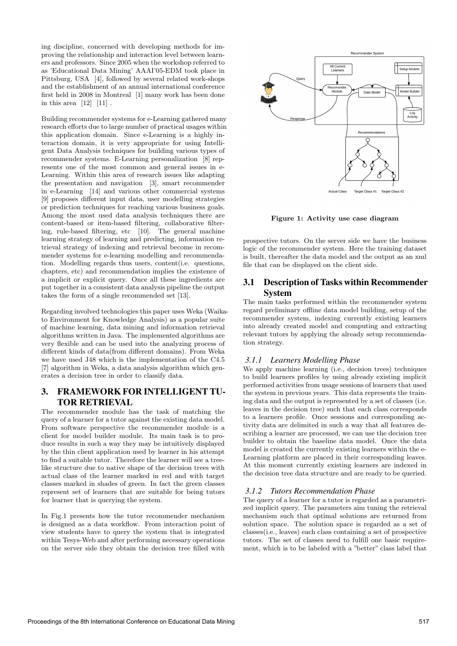ing discipline, concerned with developing methods for improving the relationship and interaction level between learners and professors. Since 2005 when the workshop referred to as 'Educational Data Mining' AAAI'05-EDM took place in Pittsburg, USA [4], followed by several related work-shops and the establishment of an annual international conference first held in 2008 in Montreal [1] many work has been done in this area  $[12]$   $[11]$ .

Building recommender systems for e-Learning gathered many research efforts due to large number of practical usages within this application domain. Since e-Learning is a highly interaction domain, it is very appropriate for using Intelligent Data Analysis techniques for building various types of recommender systems. E-Learning personalization [8] represents one of the most common and general issues in e-Learning. Within this area of research issues like adapting the presentation and navigation [3], smart recommender in e-Learning [14] and various other commercial systems [9] proposes different input data, user modelling strategies or prediction techniques for reaching various business goals. Among the most used data analysis techniques there are content-based or item-based filtering, collaborative filtering, rule-based filtering, etc [10]. The general machine learning strategy of learning and predicting, information retrieval strategy of indexing and retrieval become in recommender systems for e-learning modelling and recommendation. Modelling regards thus users, content(i.e. questions, chapters, etc) and recommendation implies the existence of a implicit or explicit query. Once all these ingredients are put together in a consistent data analysis pipeline the output takes the form of a single recommended set [13].

Regarding involved technologies this paper uses Weka (Waikato Environment for Knowledge Analysis) as a popular suite of machine learning, data mining and information retrieval algorithms written in Java. The implemented algorithms are very flexible and can be used into the analyzing process of different kinds of data(from different domains). From Weka we have used J48 which is the implementation of the C4.5 [7] algorithm in Weka, a data analysis algorithm which generates a decision tree in order to classify data.

# 3. FRAMEWORK FOR INTELLIGENT TU-TOR RETRIEVAL

The recommender module has the task of matching the query of a learner for a tutor against the existing data model. From software perspective the recommender module is a client for model builder module. Its main task is to produce results in such a way they may be intuitively displayed by the thin client application used by learner in his attempt to find a suitable tutor. Therefore the learner will see a treelike structure due to native shape of the decision trees with actual class of the learner marked in red and with target classes marked in shades of green. In fact the green classes represent set of learners that are suitable for being tutors for learner that is querying the system.

In Fig.1 presents how the tutor recommender mechanism is designed as a data workflow. From interaction point of view students have to query the system that is integrated within Tesys-Web and after performing necessary operations on the server side they obtain the decision tree filled with



Figure 1: Activity use case diagram

prospective tutors. On the server side we have the business logic of the recommender system. Here the training dataset is built, thereafter the data model and the output as an xml file that can be displayed on the client side.

# 3.1 Description of Tasks within Recommender System

The main tasks performed within the recommender system regard preliminary offline data model building, setup of the recommender system, indexing currently existing learners into already created model and computing and extracting relevant tutors by applying the already setup recommendation strategy.

# *3.1.1 Learners Modelling Phase*

We apply machine learning (i.e., decision trees) techniques to build learners profiles by using already existing implicit performed activities from usage sessions of learners that used the system in previous years. This data represents the training data and the output is represented by a set of classes (i.e. leaves in the decision tree) such that each class corresponds to a learners profile. Once sessions and corresponding activity data are delimited in such a way that all features describing a learner are processed, we can use the decision tree builder to obtain the baseline data model. Once the data model is created the currently existing learners within the e-Learning platform are placed in their corresponding leaves. At this moment currently existing learners are indexed in the decision tree data structure and are ready to be queried.

## *3.1.2 Tutors Recommendation Phase*

The query of a learner for a tutor is regarded as a parametrized implicit query. The parameters aim tuning the retrieval mechanism such that optimal solutions are returned from solution space. The solution space is regarded as a set of classes(i.e., leaves) each class containing a set of prospective tutors. The set of classes need to fulfill one basic requirement, which is to be labeled with a "better" class label that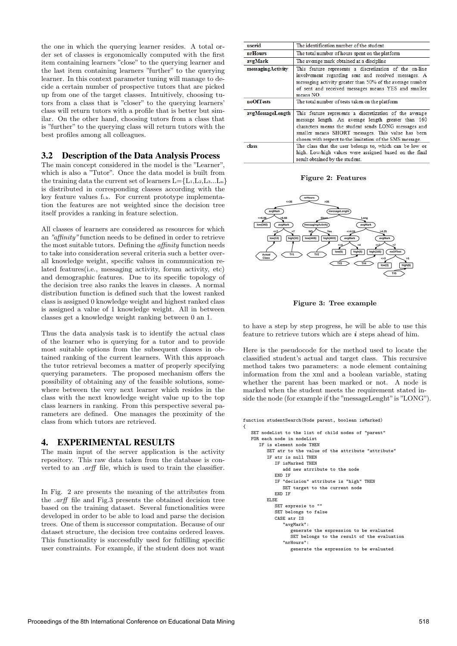the one in which the querying learner resides. A total order set of classes is ergonomically computed with the first item containing learners "close" to the querying learner and the last item containing learners "further" to the querying learner. In this context parameter tuning will manage to decide a certain number of prospective tutors that are picked up from one of the target classes. Intuitively, choosing tutors from a class that is "closer" to the querying learners' class will return tutors with a profile that is better but similar. On the other hand, choosing tutors from a class that is "further" to the querying class will return tutors with the best profiles among all colleagues.

### 3.2 Description of the Data Analysis Process

The main concept considered in the model is the "Learner", which is also a "Tutor". Once the data model is built from the training data the current set of learners  $L = \{L_1, L_2, L_3, \ldots, L_n\}$ is distributed in corresponding classes according with the key feature values fi,k. For current prototype implementation the features are not weighted since the decision tree itself provides a ranking in feature selection.

All classes of learners are considered as resources for which an "affinity" function needs to be defined in order to retrieve the most suitable tutors. Defining the affinity function needs to take into consideration several criteria such a better overall knowledge weight, specific values in communication related features(i.e., messaging activity, forum activity, etc) and demographic features. Due to its specific topology of the decision tree also ranks the leaves in classes. A normal distribution function is defined such that the lowest ranked class is assigned 0 knowledge weight and highest ranked class is assigned a value of 1 knowledge weight. All in between classes get a knowledge weight ranking between 0 an 1.

Thus the data analysis task is to identify the actual class of the learner who is querying for a tutor and to provide most suitable options from the subsequent classes in obtained ranking of the current learners. With this approach the tutor retrieval becomes a matter of properly specifying querying parameters. The proposed mechanism offers the possibility of obtaining any of the feasible solutions, somewhere between the very next learner which resides in the class with the next knowledge weight value up to the top class learners in ranking. From this perspective several parameters are defined. One manages the proximity of the class from which tutors are retrieved.

#### 4. EXPERIMENTAL RESULTS

The main input of the server application is the activity repository. This raw data taken from the database is converted to an .arff file, which is used to train the classifier.

In Fig. 2 are presents the meaning of the attributes from the .arff file and Fig.3 presents the obtained decision tree based on the training dataset. Several functionalities were developed in order to be able to load and parse the decision trees. One of them is successor computation. Because of our dataset structure, the decision tree contains ordered leaves. This functionality is successfully used for fulfilling specific user constraints. For example, if the student does not want

| userid            | The identification number of the student                                                                                                                                                                                                                                                |
|-------------------|-----------------------------------------------------------------------------------------------------------------------------------------------------------------------------------------------------------------------------------------------------------------------------------------|
| <i>nrHours</i>    | The total number of hours spent on the platform                                                                                                                                                                                                                                         |
| avgMark           | The average mark obtained at a discipline                                                                                                                                                                                                                                               |
| messagingActivity | This feature represents a discretization of the on-line<br>involvement regarding sent and received messages. A<br>messaging activity greater than 50% of the average number<br>of sent and received messages means YES and smaller<br>means NO.                                         |
| noOfTests         | The total number of tests taken on the platform                                                                                                                                                                                                                                         |
| avgMessageLength  | This feature represents a discretization of the average<br>message length. An average length greater than 160<br>characters means the student sends LONG messages and<br>smaller means SHORT messages. This value has been<br>chosen with respect to the limitation of the SMS message. |
| class             | The class that the user belongs to, which can be low or<br>high. Low/high values were assigned based on the final<br>result obtained by the student.                                                                                                                                    |

Figure 2: Features



Figure 3: Tree example

to have a step by step progress, he will be able to use this feature to retrieve tutors which are  $i$  steps ahead of him.

Here is the pseudocode for the method used to locate the classified student's actual and target class. This recursive method takes two parameters: a node element containing information from the xml and a boolean variable, stating whether the parent has been marked or not. A node is marked when the student meets the requirement stated inside the node (for example if the "messageLenght"is "LONG").

```
function studentSearch(Node parent, boolean isMarked)
   SET nodeList to the list of child nodes of "parent"
   FOR each node in nodeList
      IF is element node THEN
         SET atr to the value of the attribute "attribute"
         IF atr is null THEN
            IF isMarked THEN
               add new atrribute to the node
            END IF
            IF "decision" attribute is "high" THEN
              SET target to the current node
            END IF
         ELSE
            SET expresie to ""
            SET belongs to false
            CASE atr IS
               "avgMark":
                  generate the expression to be evaluated
                  SET belongs to the result of the evaluation
               "nrHours":
                  generate the expression to be evaluated
```
{